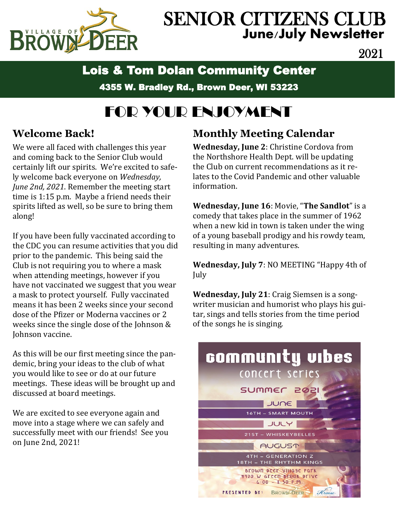

# SENIOR CITIZENS CLUB **June/July Newsletter**

2021

## Lois & Tom Dolan Community Center

4355 W. Bradley Rd., Brown Deer, WI 53223

# FOR YOUR ENJOYMENT

### **Welcome Back!**

We were all faced with challenges this year and coming back to the Senior Club would certainly lift our spirits. We're excited to safely welcome back everyone on *Wednesday, June 2nd, 2021*. Remember the meeting start time is 1:15 p.m. Maybe a friend needs their spirits lifted as well, so be sure to bring them along!

If you have been fully vaccinated according to the CDC you can resume activities that you did prior to the pandemic. This being said the Club is not requiring you to where a mask when attending meetings, however if you have not vaccinated we suggest that you wear a mask to protect yourself. Fully vaccinated means it has been 2 weeks since your second dose of the Pfizer or Moderna vaccines or 2 weeks since the single dose of the Johnson & Johnson vaccine.

As this will be our first meeting since the pandemic, bring your ideas to the club of what you would like to see or do at our future meetings. These ideas will be brought up and discussed at board meetings.

We are excited to see everyone again and move into a stage where we can safely and successfully meet with our friends! See you on June 2nd, 2021!

### **Monthly Meeting Calendar**

**Wednesday, June 2**: Christine Cordova from the Northshore Health Dept. will be updating the Club on current recommendations as it relates to the Covid Pandemic and other valuable information.

**Wednesday, June 16**: Movie, "**The Sandlot**" is a comedy that takes place in the summer of 1962 when a new kid in town is taken under the wing of a young baseball prodigy and his rowdy team, resulting in many adventures.

**Wednesday, July 7**: NO MEETING "Happy 4th of July

**Wednesday, July 21**: Craig Siemsen is a songwriter musician and humorist who plays his guitar, sings and tells stories from the time period of the songs he is singing.

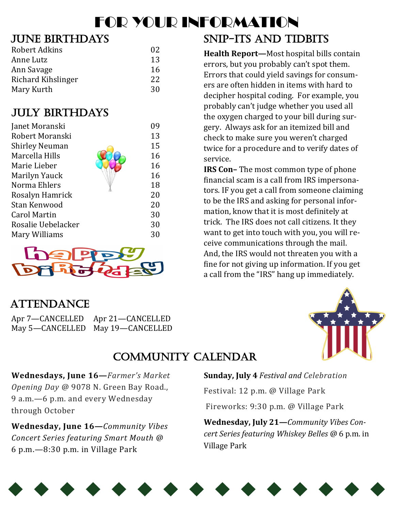# FOR YOUR INFORMATION

### June birthdays

| Robert Adkins             | 02 |
|---------------------------|----|
| Anne Lutz                 | 13 |
| Ann Savage                | 16 |
| <b>Richard Kihslinger</b> | 22 |
| Mary Kurth                | 30 |

### July birthdays

| Janet Moranski        | 09 |
|-----------------------|----|
| Robert Moranski       | 13 |
| <b>Shirley Neuman</b> | 15 |
| Marcella Hills        | 16 |
| Marie Lieber          | 16 |
| Marilyn Yauck         | 16 |
| Norma Ehlers          | 18 |
| Rosalyn Hamrick       | 20 |
| Stan Kenwood          | 20 |
| <b>Carol Martin</b>   | 30 |
| Rosalie Uebelacker    | 30 |
| Mary Williams         | 30 |



## SNIP-ITS AND TIDBITS

**Health Report—**Most hospital bills contain errors, but you probably can't spot them. Errors that could yield savings for consumers are often hidden in items with hard to decipher hospital coding. For example, you probably can't judge whether you used all the oxygen charged to your bill during surgery. Always ask for an itemized bill and check to make sure you weren't charged twice for a procedure and to verify dates of service.

**IRS Con–** The most common type of phone financial scam is a call from IRS impersonators. IF you get a call from someone claiming to be the IRS and asking for personal information, know that it is most definitely at trick. The IRS does not call citizens. It they want to get into touch with you, you will receive communications through the mail. And, the IRS would not threaten you with a fine for not giving up information. If you get a call from the "IRS" hang up immediately.

### **ATTENDANCE**

| Apr 7—CANCELLED Apr 21—CANCELLED |
|----------------------------------|
| May 5-CANCELLED May 19-CANCELLED |



### Community Calendar

**Wednesdays, June 16—***Farmer's Market Opening Day @* 9078 N. Green Bay Road., 9 a.m.—6 p.m. and every Wednesday through October

**Wednesday, June 16—***Community Vibes Concert Series featuring Smart Mouth @* 6 p.m.—8:30 p.m. in Village Park

#### **Sunday, July 4** *Festival and Celebration*

Festival: 12 p.m. @ Village Park

Fireworks: 9:30 p.m. @ Village Park

**Wednesday, July 21—***Community Vibes Concert Series featuring Whiskey Belles @* 6 p.m. in Village Park

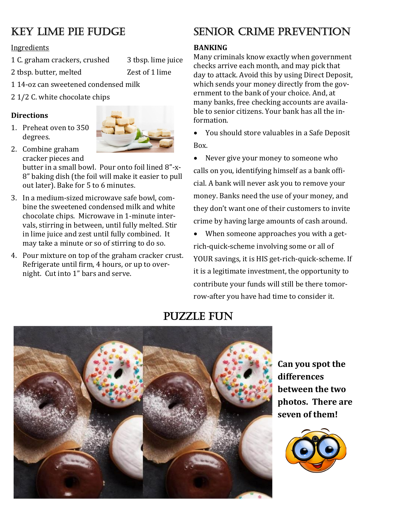### Key Lime Pie Fudge

Ingredients

1 C. graham crackers, crushed 3 tbsp. lime juice

2 tbsp. butter, melted Zest of 1 lime

1 14-oz can sweetened condensed milk

2 1/2 C. white chocolate chips

#### **Directions**

1. Preheat oven to 350 degrees.



2. Combine graham cracker pieces and butter in a small bowl. Pour onto foil lined 8"-x-8" baking dish (the foil will make it easier to pull

out later). Bake for 5 to 6 minutes.

- 3. In a medium-sized microwave safe bowl, combine the sweetened condensed milk and white chocolate chips. Microwave in 1-minute intervals, stirring in between, until fully melted. Stir in lime juice and zest until fully combined. It may take a minute or so of stirring to do so.
- 4. Pour mixture on top of the graham cracker crust. Refrigerate until firm, 4 hours, or up to overnight. Cut into 1" bars and serve.

### Senior Crime Prevention

#### **BANKING**

Many criminals know exactly when government checks arrive each month, and may pick that day to attack. Avoid this by using Direct Deposit, which sends your money directly from the government to the bank of your choice. And, at many banks, free checking accounts are available to senior citizens. Your bank has all the information.

• You should store valuables in a Safe Deposit Box.

• Never give your money to someone who calls on you, identifying himself as a bank official. A bank will never ask you to remove your money. Banks need the use of your money, and they don't want one of their customers to invite crime by having large amounts of cash around.

• When someone approaches you with a getrich-quick-scheme involving some or all of YOUR savings, it is HIS get-rich-quick-scheme. If it is a legitimate investment, the opportunity to contribute your funds will still be there tomorrow-after you have had time to consider it.



### Puzzle Fun

**Can you spot the differences between the two photos. There are seven of them!**